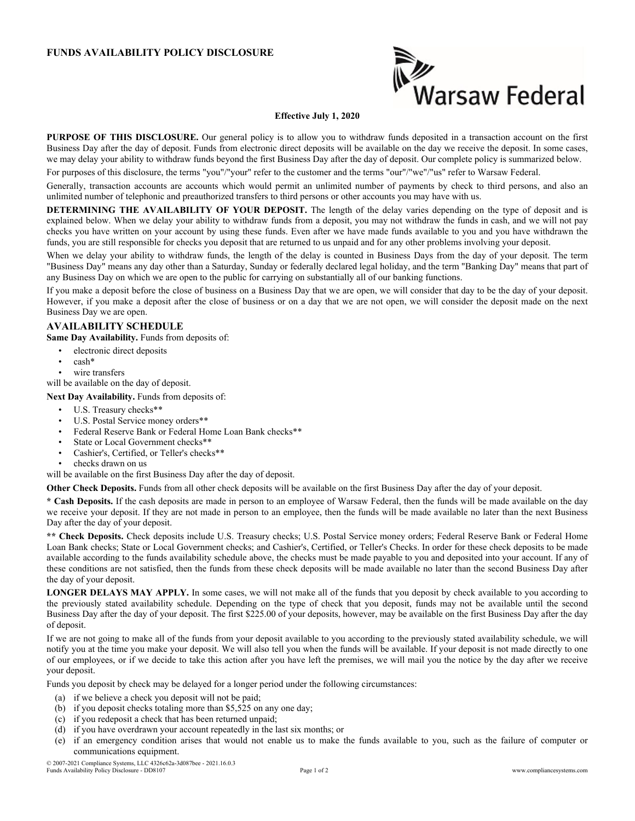## **FUNDS AVAILABILITY POLICY DISCLOSURE**



## **Effective July 1, 2020**

**PURPOSE OF THIS DISCLOSURE.** Our general policy is to allow you to withdraw funds deposited in a transaction account on the first Business Day after the day of deposit. Funds from electronic direct deposits will be available on the day we receive the deposit. In some cases, we may delay your ability to withdraw funds beyond the first Business Day after the day of deposit. Our complete policy is summarized below.

For purposes of this disclosure, the terms "you"/"your" refer to the customer and the terms "our"/"we"/"us" refer to Warsaw Federal.

Generally, transaction accounts are accounts which would permit an unlimited number of payments by check to third persons, and also an unlimited number of telephonic and preauthorized transfers to third persons or other accounts you may have with us.

**DETERMINING THE AVAILABILITY OF YOUR DEPOSIT.** The length of the delay varies depending on the type of deposit and is explained below. When we delay your ability to withdraw funds from a deposit, you may not withdraw the funds in cash, and we will not pay checks you have written on your account by using these funds. Even after we have made funds available to you and you have withdrawn the funds, you are still responsible for checks you deposit that are returned to us unpaid and for any other problems involving your deposit.

When we delay your ability to withdraw funds, the length of the delay is counted in Business Days from the day of your deposit. The term "Business Day" means any day other than a Saturday, Sunday or federally declared legal holiday, and the term "Banking Day" means that part of any Business Day on which we are open to the public for carrying on substantially all of our banking functions.

If you make a deposit before the close of business on a Business Day that we are open, we will consider that day to be the day of your deposit. However, if you make a deposit after the close of business or on a day that we are not open, we will consider the deposit made on the next Business Day we are open.

## **AVAILABILITY SCHEDULE**

**Same Day Availability.** Funds from deposits of:

- electronic direct deposits
- cash\*
- wire transfers

will be available on the day of deposit.

**Next Day Availability.** Funds from deposits of:

- U.S. Treasury checks\*\*
- U.S. Postal Service money orders\*\*
- Federal Reserve Bank or Federal Home Loan Bank checks\*\*
- State or Local Government checks\*\*
- Cashier's, Certified, or Teller's checks\*\*
- checks drawn on us

will be available on the first Business Day after the day of deposit.

**Other Check Deposits.** Funds from all other check deposits will be available on the first Business Day after the day of your deposit.

**\* Cash Deposits.** If the cash deposits are made in person to an employee of Warsaw Federal, then the funds will be made available on the day we receive your deposit. If they are not made in person to an employee, then the funds will be made available no later than the next Business Day after the day of your deposit.

**\*\* Check Deposits.** Check deposits include U.S. Treasury checks; U.S. Postal Service money orders; Federal Reserve Bank or Federal Home Loan Bank checks; State or Local Government checks; and Cashier's, Certified, or Teller's Checks. In order for these check deposits to be made available according to the funds availability schedule above, the checks must be made payable to you and deposited into your account. If any of these conditions are not satisfied, then the funds from these check deposits will be made available no later than the second Business Day after the day of your deposit.

**LONGER DELAYS MAY APPLY.** In some cases, we will not make all of the funds that you deposit by check available to you according to the previously stated availability schedule. Depending on the type of check that you deposit, funds may not be available until the second Business Day after the day of your deposit. The first \$225.00 of your deposits, however, may be available on the first Business Day after the day of deposit.

If we are not going to make all of the funds from your deposit available to you according to the previously stated availability schedule, we will notify you at the time you make your deposit. We will also tell you when the funds will be available. If your deposit is not made directly to one of our employees, or if we decide to take this action after you have left the premises, we will mail you the notice by the day after we receive your deposit.

Funds you deposit by check may be delayed for a longer period under the following circumstances:

- (a) if we believe a check you deposit will not be paid;
- (b) if you deposit checks totaling more than \$5,525 on any one day;
- (c) if you redeposit a check that has been returned unpaid;
- (d) if you have overdrawn your account repeatedly in the last six months; or
- (e) if an emergency condition arises that would not enable us to make the funds available to you, such as the failure of computer or communications equipment.